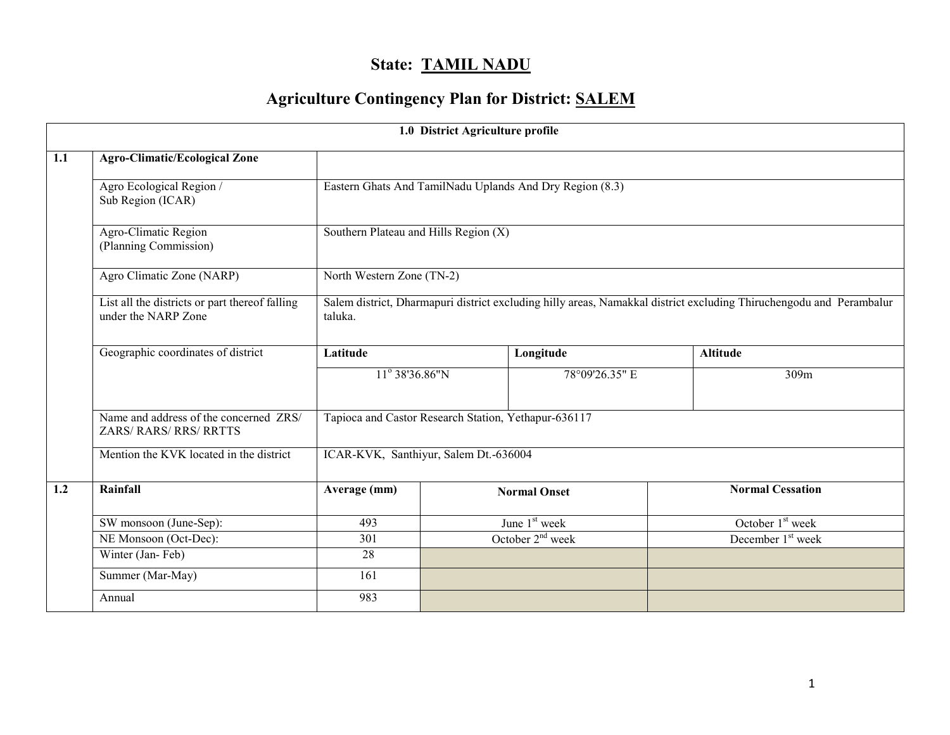# State: TAMIL NADU

# Agriculture Contingency Plan for District: SALEM

|                  |                                                                       |                                                                                                                                | 1.0 District Agriculture profile |                     |                               |  |  |  |
|------------------|-----------------------------------------------------------------------|--------------------------------------------------------------------------------------------------------------------------------|----------------------------------|---------------------|-------------------------------|--|--|--|
| $\overline{1.1}$ | <b>Agro-Climatic/Ecological Zone</b>                                  |                                                                                                                                |                                  |                     |                               |  |  |  |
|                  | Agro Ecological Region /<br>Sub Region (ICAR)                         | Eastern Ghats And TamilNadu Uplands And Dry Region (8.3)                                                                       |                                  |                     |                               |  |  |  |
|                  | Agro-Climatic Region<br>(Planning Commission)                         | Southern Plateau and Hills Region $(X)$                                                                                        |                                  |                     |                               |  |  |  |
|                  | Agro Climatic Zone (NARP)                                             | North Western Zone (TN-2)                                                                                                      |                                  |                     |                               |  |  |  |
|                  | List all the districts or part thereof falling<br>under the NARP Zone | Salem district, Dharmapuri district excluding hilly areas, Namakkal district excluding Thiruchengodu and Perambalur<br>taluka. |                                  |                     |                               |  |  |  |
|                  | Geographic coordinates of district                                    | Latitude                                                                                                                       |                                  | Longitude           | <b>Altitude</b>               |  |  |  |
|                  |                                                                       | 11° 38'36.86"N                                                                                                                 |                                  | 78°09'26.35" E      | 309m                          |  |  |  |
|                  | Name and address of the concerned ZRS/<br>ZARS/RARS/RRS/RRTTS         | Tapioca and Castor Research Station, Yethapur-636117                                                                           |                                  |                     |                               |  |  |  |
|                  | Mention the KVK located in the district                               | ICAR-KVK, Santhiyur, Salem Dt.-636004                                                                                          |                                  |                     |                               |  |  |  |
| 1.2              | Rainfall                                                              | Average (mm)                                                                                                                   |                                  | <b>Normal Onset</b> | <b>Normal Cessation</b>       |  |  |  |
|                  | SW monsoon (June-Sep):                                                | 493                                                                                                                            |                                  | June $1st$ week     | October $1st$ week            |  |  |  |
|                  | NE Monsoon (Oct-Dec):                                                 | 301                                                                                                                            |                                  | October $2nd$ week  | December 1 <sup>st</sup> week |  |  |  |
|                  | Winter (Jan-Feb)                                                      | 28                                                                                                                             |                                  |                     |                               |  |  |  |
|                  | Summer (Mar-May)                                                      | 161                                                                                                                            |                                  |                     |                               |  |  |  |
|                  | Annual                                                                | 983                                                                                                                            |                                  |                     |                               |  |  |  |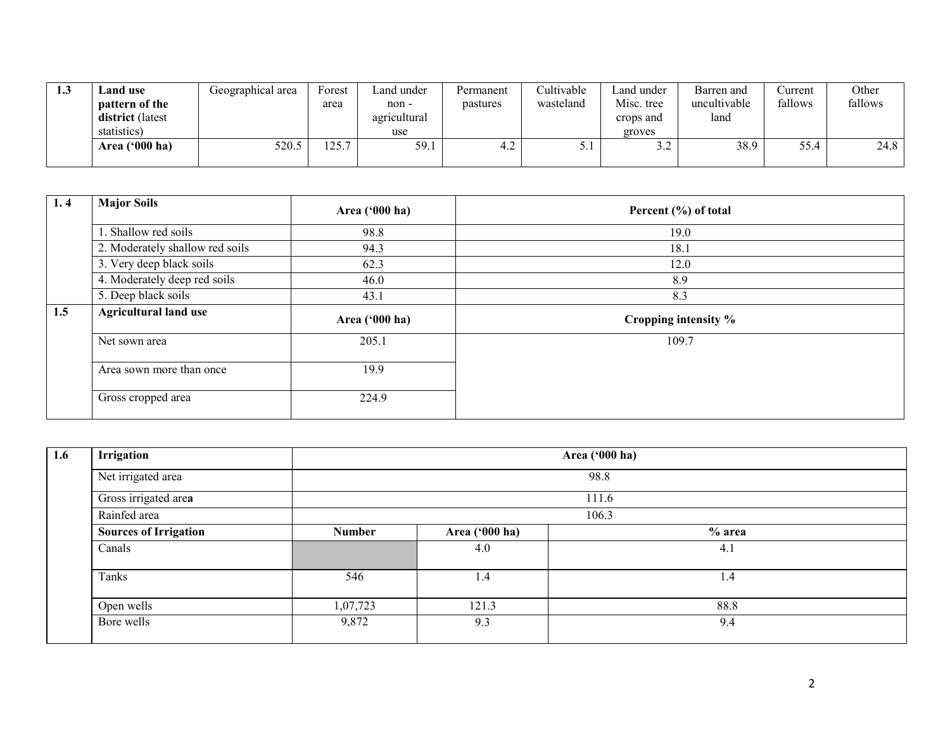| 1.3 | Land use<br>pattern of the<br>district (latest<br>statistics) | Geographical area | Forest<br>area  | Land under<br>non-<br>agricultural<br>use | Permanent<br>pastures | Cultivable<br>wasteland | Land under<br>Misc. tree<br>crops and<br>groves | Barren and<br>uncultivable<br>land | <b>Current</b><br>fallows | Other<br>fallows |
|-----|---------------------------------------------------------------|-------------------|-----------------|-------------------------------------------|-----------------------|-------------------------|-------------------------------------------------|------------------------------------|---------------------------|------------------|
|     | Area ('000 ha)                                                | 520.5             | $\eta$<br>. د پ | 59.1                                      | 4.2                   | .                       | $\sim$<br>J.L                                   | 38.9                               | 55.4                      | 24.8             |

| 1, 4 | <b>Major Soils</b>              | Area ('000 ha) | Percent (%) of total |
|------|---------------------------------|----------------|----------------------|
|      | 1. Shallow red soils            | 98.8           | 19.0                 |
|      | 2. Moderately shallow red soils | 94.3           | 18.1                 |
|      | 3. Very deep black soils        | 62.3           | 12.0                 |
|      | 4. Moderately deep red soils    | 46.0           | 8.9                  |
|      | 5. Deep black soils             | 43.1           | 8.3                  |
| 1.5  | <b>Agricultural land use</b>    | Area ('000 ha) | Cropping intensity % |
|      | Net sown area                   | 205.1          | 109.7                |
|      | Area sown more than once        | 19.9           |                      |
|      | Gross cropped area              | 224.9          |                      |

| 1.6 | Irrigation                   | Area ('000 ha) |                |          |  |  |  |  |  |  |
|-----|------------------------------|----------------|----------------|----------|--|--|--|--|--|--|
|     | Net irrigated area           | 98.8           |                |          |  |  |  |  |  |  |
|     | Gross irrigated area         |                |                | 111.6    |  |  |  |  |  |  |
|     | Rainfed area                 |                |                | 106.3    |  |  |  |  |  |  |
|     | <b>Sources of Irrigation</b> | <b>Number</b>  | Area ('000 ha) | $%$ area |  |  |  |  |  |  |
|     | Canals                       |                | 4.0            | 4.1      |  |  |  |  |  |  |
|     | Tanks                        | 546            | 1.4            | 1.4      |  |  |  |  |  |  |
|     | Open wells                   | 1,07,723       | 121.3          | 88.8     |  |  |  |  |  |  |
|     | Bore wells                   | 9,872          | 9.3            | 9.4      |  |  |  |  |  |  |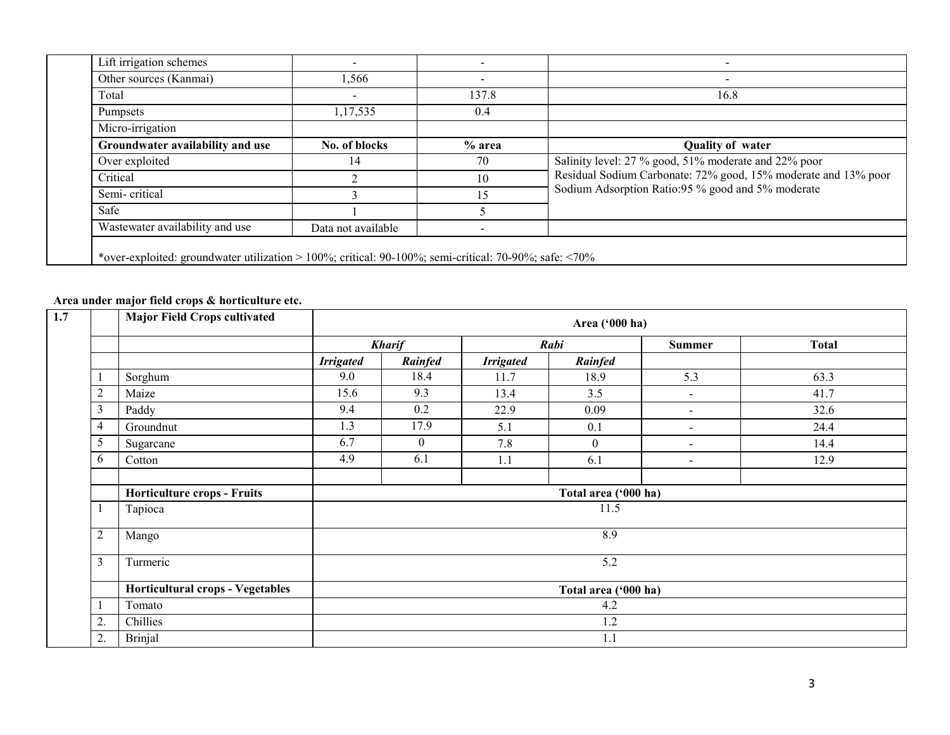| Lift irrigation schemes          | $\overline{\phantom{0}}$ |        |                                                                |
|----------------------------------|--------------------------|--------|----------------------------------------------------------------|
| Other sources (Kanmai)           | 1,566                    |        |                                                                |
| Total                            | $\blacksquare$           | 137.8  | 16.8                                                           |
| <b>Pumpsets</b>                  | 1,17,535                 | 0.4    |                                                                |
| Micro-irrigation                 |                          |        |                                                                |
| Groundwater availability and use | No. of blocks            | % area | <b>Quality of water</b>                                        |
| Over exploited                   | 14                       | 70     | Salinity level: 27 % good, 51% moderate and 22% poor           |
| Critical                         |                          | 10     | Residual Sodium Carbonate: 72% good, 15% moderate and 13% poor |
| Semi-critical                    |                          | 15     | Sodium Adsorption Ratio:95 % good and 5% moderate              |
| Safe                             |                          |        |                                                                |
|                                  |                          |        |                                                                |

#### Area under major field crops & horticulture etc.

| 1.7 |                | <b>Major Field Crops cultivated</b> |                  | Area ('000 ha)   |                  |                      |                |              |  |  |
|-----|----------------|-------------------------------------|------------------|------------------|------------------|----------------------|----------------|--------------|--|--|
|     |                |                                     |                  | <b>Kharif</b>    |                  | Rabi                 | <b>Summer</b>  | <b>Total</b> |  |  |
|     |                |                                     | <b>Irrigated</b> | Rainfed          | <b>Irrigated</b> | Rainfed              |                |              |  |  |
|     |                | Sorghum                             | 9.0              | 18.4             | 11.7             | 18.9                 | 5.3            | 63.3         |  |  |
|     | $\overline{2}$ | Maize                               | 15.6             | 9.3              | 13.4             | 3.5                  | $\blacksquare$ | 41.7         |  |  |
|     | 3              | Paddy                               | 9.4              | 0.2              | 22.9             | 0.09                 | $\blacksquare$ | 32.6         |  |  |
|     | 4              | Groundnut                           | 1.3              | 17.9             | 5.1              | 0.1                  | $\blacksquare$ | 24.4         |  |  |
|     | 5              | Sugarcane                           | 6.7              | $\boldsymbol{0}$ | 7.8              | $\mathbf{0}$         | $\blacksquare$ | 14.4         |  |  |
|     | 6              | Cotton                              | 4.9              | 6.1              | 1.1              | 6.1                  | $\sim$         | 12.9         |  |  |
|     |                | <b>Horticulture crops - Fruits</b>  |                  |                  |                  | Total area ('000 ha) |                |              |  |  |
|     |                | Tapioca                             |                  |                  |                  | 11.5                 |                |              |  |  |
|     | $\overline{2}$ | Mango                               | 8.9              |                  |                  |                      |                |              |  |  |
|     | 3              | Turmeric                            |                  |                  |                  | 5.2                  |                |              |  |  |
|     |                | Horticultural crops - Vegetables    |                  |                  |                  | Total area ('000 ha) |                |              |  |  |
|     |                | Tomato                              |                  |                  |                  | 4.2                  |                |              |  |  |
|     | 2.             | Chillies                            |                  |                  |                  | 1.2                  |                |              |  |  |
|     | 2.             | <b>Brinjal</b>                      |                  |                  |                  | 1.1                  |                |              |  |  |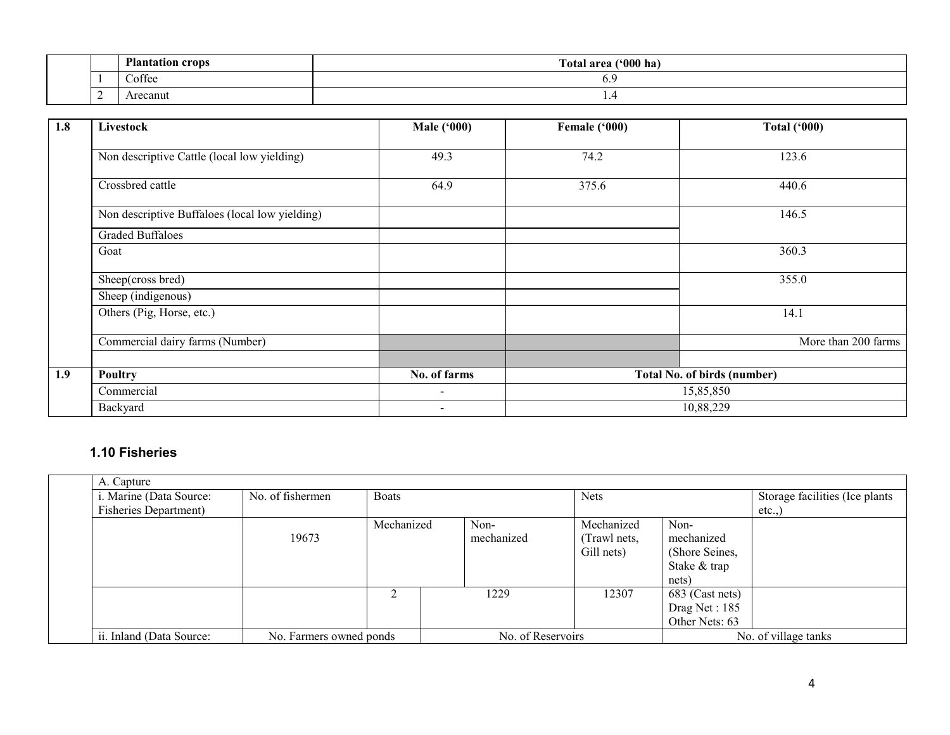|   | $D1_{\alpha}$<br>000R | $(900)$ ha<br><b>CONTRACTOR</b><br>`otal<br>araa |
|---|-----------------------|--------------------------------------------------|
|   | $\sim$<br>Coffee      | $\mathbf{v}$ .                                   |
| ∸ | recanut               | . .                                              |

| 1.8 | Livestock                                      | <b>Male ('000)</b> | Female ('000) | <b>Total ('000)</b>                |
|-----|------------------------------------------------|--------------------|---------------|------------------------------------|
|     | Non descriptive Cattle (local low yielding)    | 49.3               | 74.2          | 123.6                              |
|     | Crossbred cattle                               | 64.9               | 375.6         | 440.6                              |
|     | Non descriptive Buffaloes (local low yielding) |                    |               | 146.5                              |
|     | <b>Graded Buffaloes</b>                        |                    |               |                                    |
|     | Goat                                           |                    |               | 360.3                              |
|     | Sheep(cross bred)                              |                    |               | 355.0                              |
|     | Sheep (indigenous)                             |                    |               |                                    |
|     | Others (Pig, Horse, etc.)                      |                    |               | 14.1                               |
|     | Commercial dairy farms (Number)                |                    |               | More than 200 farms                |
|     |                                                |                    |               |                                    |
| 1.9 | Poultry                                        | No. of farms       |               | <b>Total No. of birds (number)</b> |
|     | Commercial                                     | $\sim$             |               | 15,85,850                          |
|     | Backyard                                       | $\blacksquare$     |               | 10,88,229                          |

### 1.10 Fisheries

| A. Capture                    |                         |              |                   |              |                 |                                |
|-------------------------------|-------------------------|--------------|-------------------|--------------|-----------------|--------------------------------|
| i. Marine (Data Source:       | No. of fishermen        | <b>Boats</b> |                   | <b>Nets</b>  |                 | Storage facilities (Ice plants |
| <b>Fisheries Department</b> ) |                         |              |                   |              |                 | etc.,                          |
|                               |                         | Mechanized   | Non-              | Mechanized   | Non-            |                                |
|                               | 19673                   |              | mechanized        | (Trawl nets, | mechanized      |                                |
|                               |                         |              |                   | Gill nets)   | (Shore Seines,  |                                |
|                               |                         |              |                   |              | Stake & trap    |                                |
|                               |                         |              |                   |              | nets)           |                                |
|                               |                         |              | 1229              | 12307        | 683 (Cast nets) |                                |
|                               |                         |              |                   |              | Drag Net: 185   |                                |
|                               |                         |              |                   |              | Other Nets: 63  |                                |
| ii. Inland (Data Source:      | No. Farmers owned ponds |              | No. of Reservoirs |              |                 | No. of village tanks           |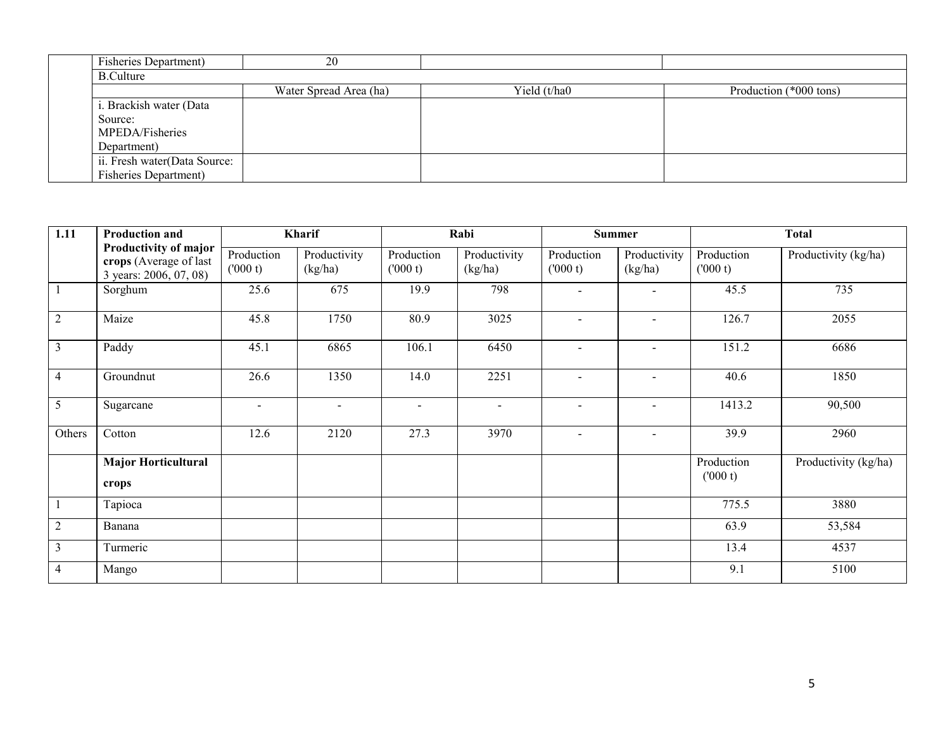| <b>Fisheries Department</b> ) | 20                     |              |                        |
|-------------------------------|------------------------|--------------|------------------------|
| <b>B.Culture</b>              |                        |              |                        |
|                               | Water Spread Area (ha) | Yield (t/ha0 | Production (*000 tons) |
| i. Brackish water (Data       |                        |              |                        |
| Source:                       |                        |              |                        |
| MPEDA/Fisheries               |                        |              |                        |
| Department)                   |                        |              |                        |
| ii. Fresh water(Data Source:  |                        |              |                        |
| <b>Fisheries Department</b> ) |                        |              |                        |

| 1.11           | <b>Production and</b>                                                     |                       | Kharif                  |                       | Rabi                    |                       | <b>Summer</b>            |                       | <b>Total</b>         |
|----------------|---------------------------------------------------------------------------|-----------------------|-------------------------|-----------------------|-------------------------|-----------------------|--------------------------|-----------------------|----------------------|
|                | Productivity of major<br>crops (Average of last<br>3 years: 2006, 07, 08) | Production<br>(000 t) | Productivity<br>(kg/ha) | Production<br>(000 t) | Productivity<br>(kg/ha) | Production<br>(000 t) | Productivity<br>(kg/ha)  | Production<br>(000 t) | Productivity (kg/ha) |
|                | Sorghum                                                                   | 25.6                  | 675                     | 19.9                  | 798                     | $\blacksquare$        | $\sim$                   | 45.5                  | 735                  |
| $\overline{2}$ | Maize                                                                     | 45.8                  | 1750                    | 80.9                  | 3025                    | $\sim$                |                          | 126.7                 | 2055                 |
| $\mathfrak{Z}$ | Paddy                                                                     | 45.1                  | 6865                    | 106.1                 | 6450                    | $\sim$                |                          | 151.2                 | 6686                 |
| $\overline{4}$ | Groundnut                                                                 | 26.6                  | 1350                    | 14.0                  | 2251                    | $\sim$                |                          | 40.6                  | 1850                 |
| 5              | Sugarcane                                                                 | $\sim$                | $\blacksquare$          | $\sim$                | $\sim$                  | $\blacksquare$        | $\overline{\phantom{a}}$ | 1413.2                | 90,500               |
| Others         | Cotton                                                                    | 12.6                  | 2120                    | 27.3                  | 3970                    | $\sim$                | $\blacksquare$           | 39.9                  | 2960                 |
|                | <b>Major Horticultural</b><br>crops                                       |                       |                         |                       |                         |                       |                          | Production<br>(000 t) | Productivity (kg/ha) |
|                | Tapioca                                                                   |                       |                         |                       |                         |                       |                          | 775.5                 | 3880                 |
| $\overline{2}$ | Banana                                                                    |                       |                         |                       |                         |                       |                          | 63.9                  | 53,584               |
| 3              | Turmeric                                                                  |                       |                         |                       |                         |                       |                          | 13.4                  | 4537                 |
| 4              | Mango                                                                     |                       |                         |                       |                         |                       |                          | 9.1                   | 5100                 |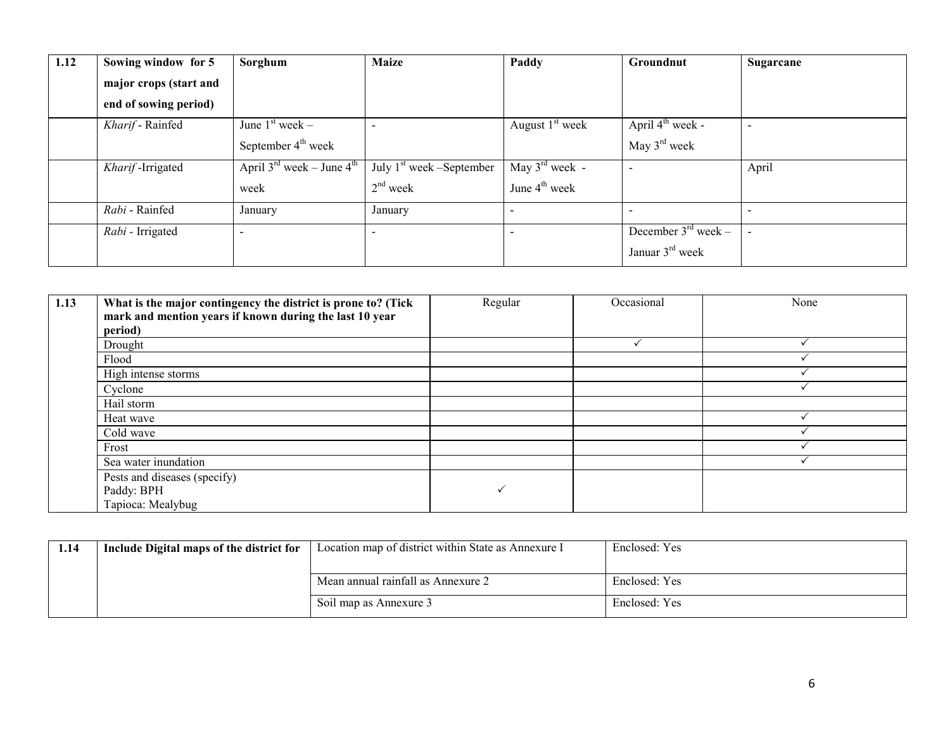| 1.12 | Sowing window for 5    | Sorghum                                           | <b>Maize</b>                                               | Paddy                      | Groundnut                       | Sugarcane                |
|------|------------------------|---------------------------------------------------|------------------------------------------------------------|----------------------------|---------------------------------|--------------------------|
|      | major crops (start and |                                                   |                                                            |                            |                                 |                          |
|      | end of sowing period)  |                                                   |                                                            |                            |                                 |                          |
|      | Kharif - Rainfed       | June $1st$ week –                                 |                                                            | August $1st$ week          | April $4^{\text{th}}$ week -    |                          |
|      |                        | September $4th$ week                              |                                                            |                            | May $3rd$ week                  |                          |
|      | Kharif-Irrigated       | April $3^{\text{rd}}$ week – June $4^{\text{th}}$ | $\overline{\mathrm{July}}$ 1 <sup>st</sup> week –September | May $3^{\text{rd}}$ week - |                                 | April                    |
|      |                        | week                                              | $2nd$ week                                                 | June $4th$ week            |                                 |                          |
|      | Rabi - Rainfed         | January                                           | January                                                    | $\overline{\phantom{a}}$   |                                 |                          |
|      | Rabi - Irrigated       | $\overline{\phantom{0}}$                          |                                                            |                            | December $3^{\text{rd}}$ week – | $\overline{\phantom{0}}$ |
|      |                        |                                                   |                                                            |                            | Januar $3rd$ week               |                          |

| 1.13 | What is the major contingency the district is prone to? (Tick<br>mark and mention years if known during the last 10 year<br>period) | Regular | Occasional | None |
|------|-------------------------------------------------------------------------------------------------------------------------------------|---------|------------|------|
|      | Drought                                                                                                                             |         |            |      |
|      | Flood                                                                                                                               |         |            |      |
|      | High intense storms                                                                                                                 |         |            |      |
|      | Cyclone                                                                                                                             |         |            |      |
|      | Hail storm                                                                                                                          |         |            |      |
|      | Heat wave                                                                                                                           |         |            |      |
|      | Cold wave                                                                                                                           |         |            |      |
|      | Frost                                                                                                                               |         |            |      |
|      | Sea water inundation                                                                                                                |         |            |      |
|      | Pests and diseases (specify)                                                                                                        |         |            |      |
|      | Paddy: BPH                                                                                                                          |         |            |      |
|      | Tapioca: Mealybug                                                                                                                   |         |            |      |

| 1.14 | Include Digital maps of the district for | Location map of district within State as Annexure I | Enclosed: Yes |
|------|------------------------------------------|-----------------------------------------------------|---------------|
|      |                                          | Mean annual rainfall as Annexure 2                  | Enclosed: Yes |
|      |                                          | Soil map as Annexure 3                              | Enclosed: Yes |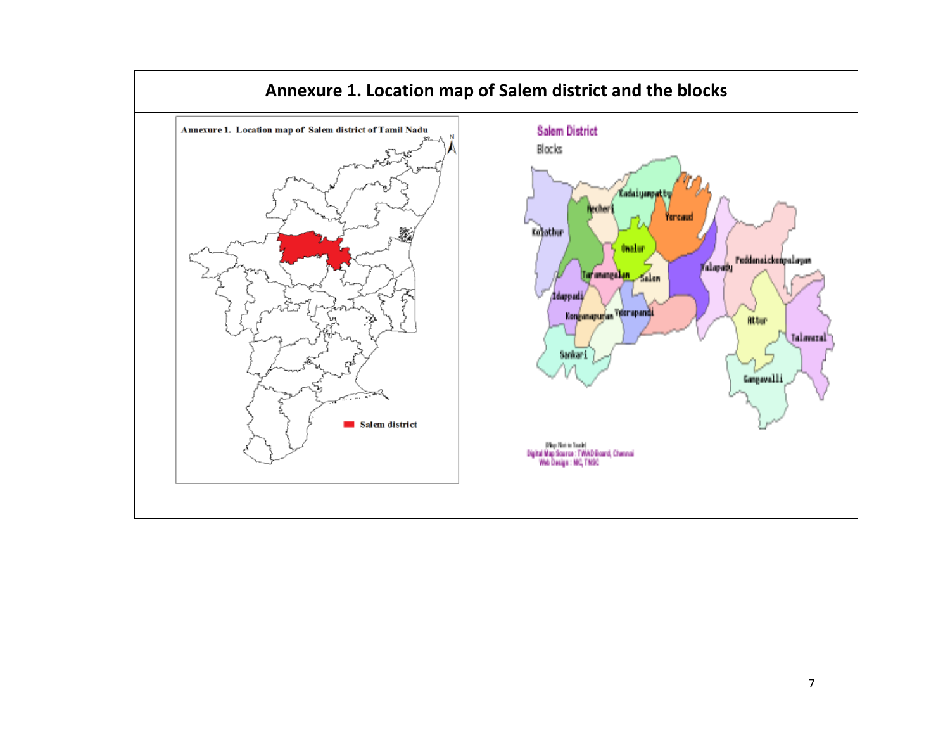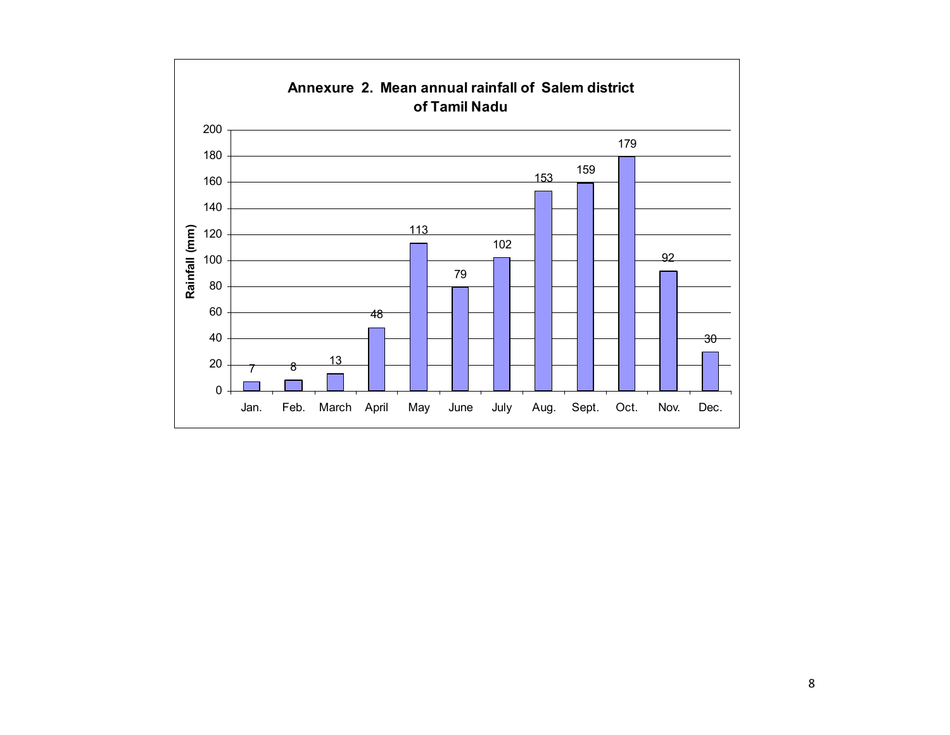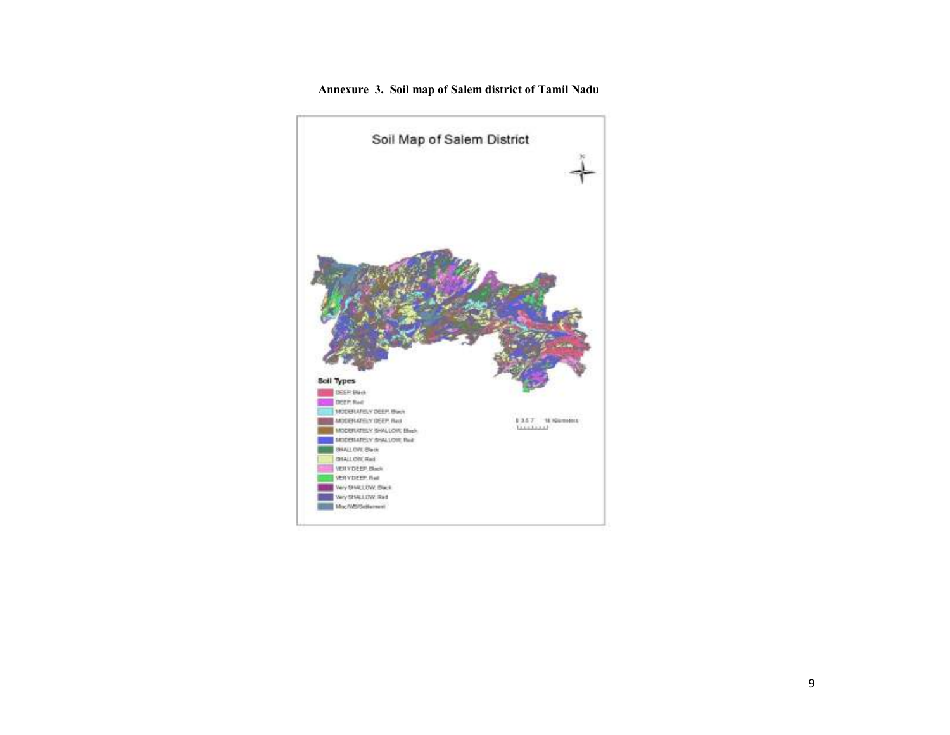

#### Annexure 3. Soil map of Salem district of Tamil Nadu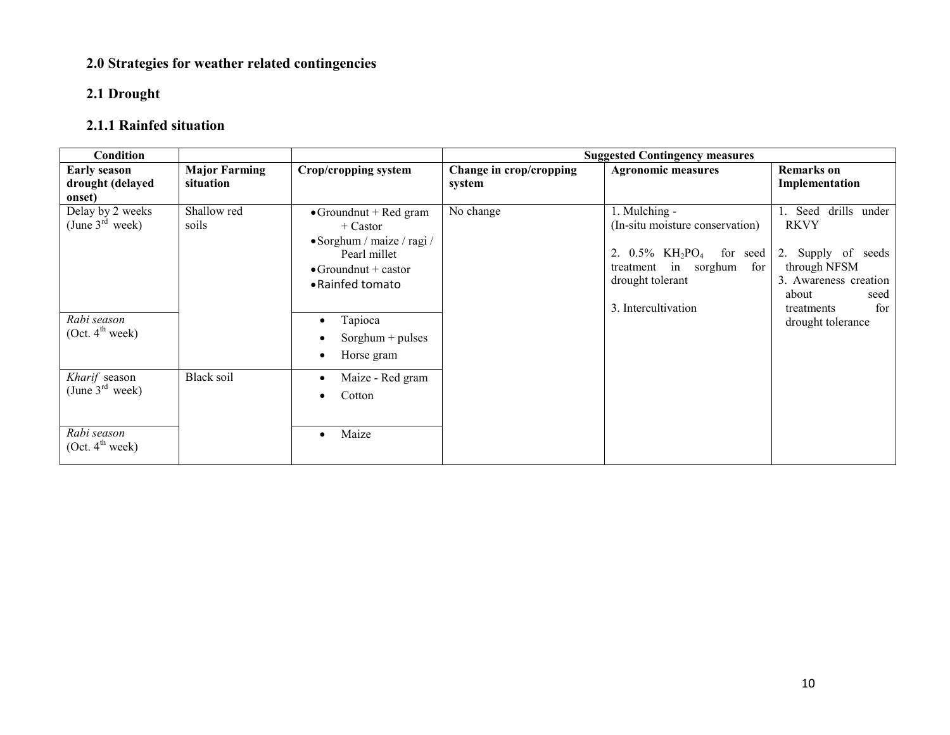# 2.0 Strategies for weather related contingencies

## 2.1 Drought

# 2.1.1 Rainfed situation

| <b>Condition</b>                                  |                                   |                                                                                                                                                |                                   | <b>Suggested Contingency measures</b>                                                                                                                                                |                                                                                                                                             |
|---------------------------------------------------|-----------------------------------|------------------------------------------------------------------------------------------------------------------------------------------------|-----------------------------------|--------------------------------------------------------------------------------------------------------------------------------------------------------------------------------------|---------------------------------------------------------------------------------------------------------------------------------------------|
| <b>Early season</b><br>drought (delayed<br>onset) | <b>Major Farming</b><br>situation | Crop/cropping system                                                                                                                           | Change in crop/cropping<br>system | <b>Agronomic measures</b>                                                                                                                                                            | <b>Remarks</b> on<br>Implementation                                                                                                         |
| Delay by 2 weeks<br>(June $3^{rd}$ week)          | Shallow red<br>soils              | $\bullet$ Groundnut + Red gram<br>$+$ Castor<br>• Sorghum / maize / ragi /<br>Pearl millet<br>$\bullet$ Groundnut + castor<br>• Rainfed tomato | No change                         | 1. Mulching -<br>(In-situ moisture conservation)<br>2. $0.5\%$ KH <sub>2</sub> PO <sub>4</sub><br>for seed<br>treatment in sorghum<br>for<br>drought tolerant<br>3. Intercultivation | 1. Seed<br>drills under<br><b>RKVY</b><br>2. Supply of seeds<br>through NFSM<br>3. Awareness creation<br>about<br>seed<br>for<br>treatments |
| Rabi season<br>(Oct. 4 <sup>th</sup> week)        |                                   | Tapioca<br>$\bullet$<br>$Sorghum + pulses$<br>$\bullet$<br>Horse gram<br>$\bullet$                                                             |                                   |                                                                                                                                                                                      | drought tolerance                                                                                                                           |
| Kharif season<br>(June $3^{\text{rd}}$ week)      | Black soil                        | Maize - Red gram<br>$\bullet$<br>Cotton<br>$\bullet$                                                                                           |                                   |                                                                                                                                                                                      |                                                                                                                                             |
| Rabi season<br>(Oct. 4 <sup>th</sup> week)        |                                   | Maize<br>$\bullet$                                                                                                                             |                                   |                                                                                                                                                                                      |                                                                                                                                             |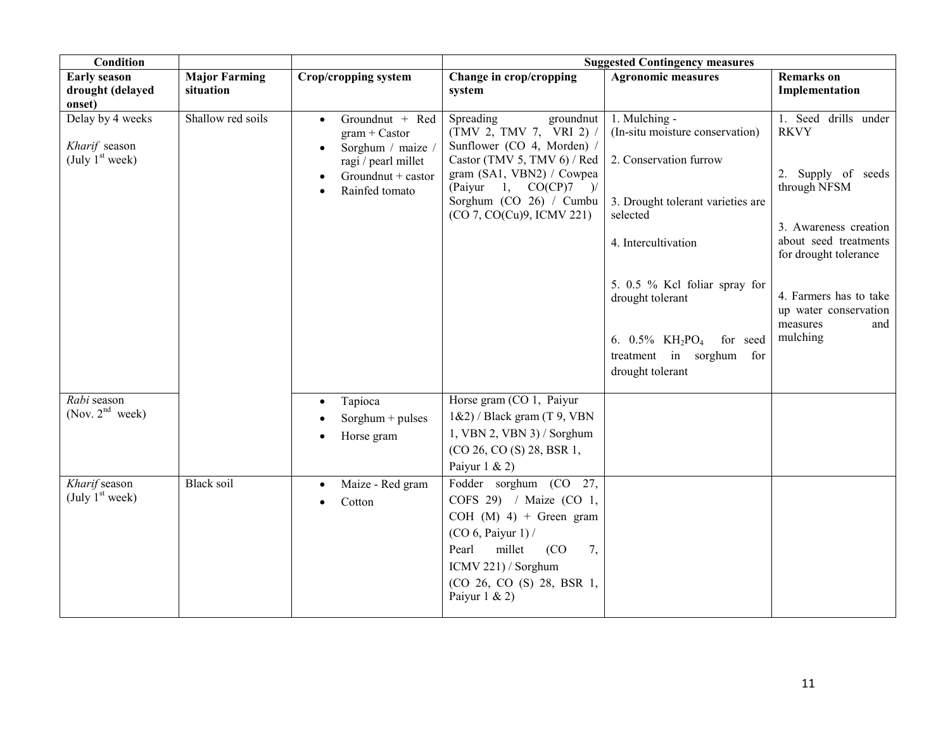| Condition                                              |                                   |                                                                                                                                                  | <b>Suggested Contingency measures</b>                                                                                                                                                                                        |                                                                                                                                                                                                                                                                                                                   |                                                                                                                                                                                                                                        |  |
|--------------------------------------------------------|-----------------------------------|--------------------------------------------------------------------------------------------------------------------------------------------------|------------------------------------------------------------------------------------------------------------------------------------------------------------------------------------------------------------------------------|-------------------------------------------------------------------------------------------------------------------------------------------------------------------------------------------------------------------------------------------------------------------------------------------------------------------|----------------------------------------------------------------------------------------------------------------------------------------------------------------------------------------------------------------------------------------|--|
| <b>Early season</b><br>drought (delayed<br>onset)      | <b>Major Farming</b><br>situation | Crop/cropping system                                                                                                                             | Change in crop/cropping<br>system                                                                                                                                                                                            | <b>Agronomic measures</b>                                                                                                                                                                                                                                                                                         | <b>Remarks</b> on<br>Implementation                                                                                                                                                                                                    |  |
| Delay by 4 weeks<br>Kharif season<br>(July $1st$ week) | Shallow red soils                 | Groundnut + Red<br>$\bullet$<br>$gram + Castor$<br>Sorghum / maize /<br>ragi / pearl millet<br>Groundnut + castor<br>Rainfed tomato<br>$\bullet$ | Spreading<br>groundnut<br>(TMV 2, TMV 7, VRI 2)<br>Sunflower (CO 4, Morden) /<br>Castor (TMV 5, TMV 6) / Red<br>gram (SA1, VBN2) / Cowpea<br>(Paiyur 1, $CO(CP)7$ )/<br>Sorghum (CO 26) / Cumbu<br>(CO 7, CO(Cu)9, ICMV 221) | 1. Mulching -<br>(In-situ moisture conservation)<br>2. Conservation furrow<br>3. Drought tolerant varieties are<br>selected<br>4. Intercultivation<br>5. 0.5 % Kel foliar spray for<br>drought tolerant<br>6. $0.5\%$ KH <sub>2</sub> PO <sub>4</sub><br>for seed<br>treatment in sorghum for<br>drought tolerant | 1. Seed drills under<br><b>RKVY</b><br>2. Supply of seeds<br>through NFSM<br>3. Awareness creation<br>about seed treatments<br>for drought tolerance<br>4. Farmers has to take<br>up water conservation<br>measures<br>and<br>mulching |  |
| Rabi season<br>(Nov. $2^{nd}$ week)                    |                                   | Tapioca<br>$\bullet$<br>Sorghum + pulses<br>Horse gram                                                                                           | Horse gram (CO 1, Paiyur<br>$1\&2)$ / Black gram (T 9, VBN<br>1, VBN 2, VBN 3) / Sorghum<br>(CO 26, CO (S) 28, BSR 1,<br>Paiyur $1 & 2$                                                                                      |                                                                                                                                                                                                                                                                                                                   |                                                                                                                                                                                                                                        |  |
| Kharif season<br>(July $1st$ week)                     | <b>Black soil</b>                 | Maize - Red gram<br>$\bullet$<br>Cotton<br>$\bullet$                                                                                             | Fodder sorghum (CO 27,<br>COFS 29) / Maize (CO 1,<br>COH $(M)$ 4) + Green gram<br>$(CO 6,$ Paiyur 1) /<br>millet<br>(CO)<br>7,<br>Pearl<br>ICMV 221) / Sorghum<br>(CO 26, CO (S) 28, BSR 1,<br>Paiyur $1 & 2$                |                                                                                                                                                                                                                                                                                                                   |                                                                                                                                                                                                                                        |  |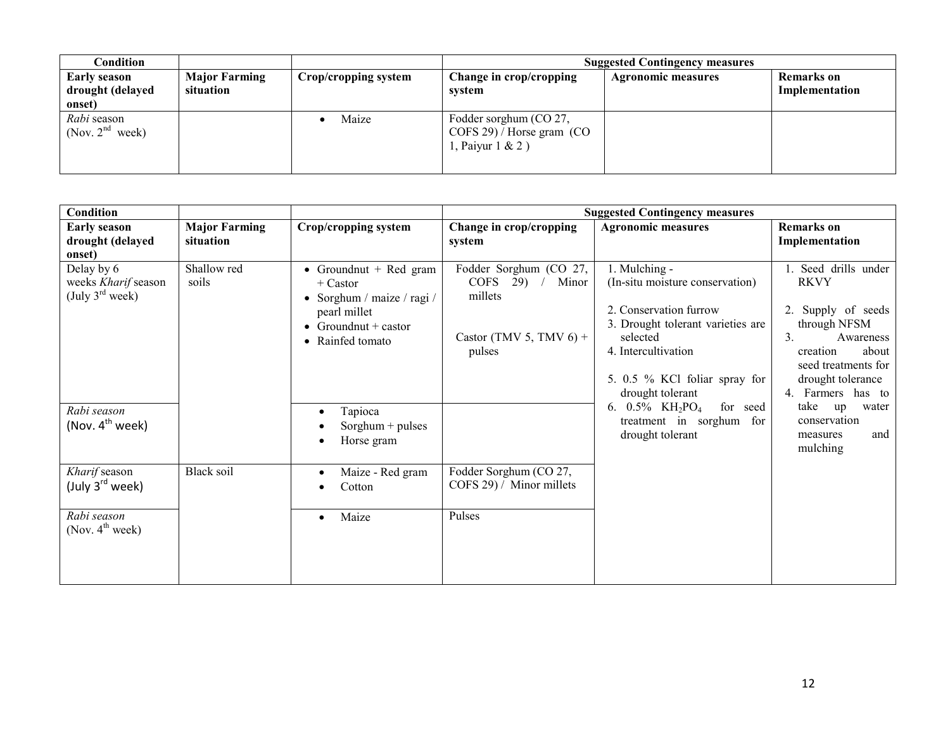| Condition                                         |                                   |                      | <b>Suggested Contingency measures</b>                                       |                           |                                     |  |
|---------------------------------------------------|-----------------------------------|----------------------|-----------------------------------------------------------------------------|---------------------------|-------------------------------------|--|
| <b>Early season</b><br>drought (delayed<br>onset) | <b>Major Farming</b><br>situation | Crop/cropping system | Change in crop/cropping<br>system                                           | <b>Agronomic measures</b> | <b>Remarks</b> on<br>Implementation |  |
| Rabi season<br>(Nov. $2nd$ week)                  |                                   | Maize                | Fodder sorghum (CO 27,<br>COFS 29) / Horse gram (CO<br>1, Paiyur $1 \& 2$ ) |                           |                                     |  |

| Condition                                                        |                                   |                                                                                                                                |                                                                                                    | <b>Suggested Contingency measures</b>                                                                                                                                                                                                                                                                             |                                                                    |                                                                                                                                                               |
|------------------------------------------------------------------|-----------------------------------|--------------------------------------------------------------------------------------------------------------------------------|----------------------------------------------------------------------------------------------------|-------------------------------------------------------------------------------------------------------------------------------------------------------------------------------------------------------------------------------------------------------------------------------------------------------------------|--------------------------------------------------------------------|---------------------------------------------------------------------------------------------------------------------------------------------------------------|
| <b>Early season</b><br>drought (delayed<br>onset)                | <b>Major Farming</b><br>situation | Crop/cropping system                                                                                                           | Change in crop/cropping<br>system                                                                  | <b>Agronomic measures</b>                                                                                                                                                                                                                                                                                         | <b>Remarks</b> on<br>Implementation                                |                                                                                                                                                               |
| Delay by 6<br>weeks Kharif season<br>(July $3^{\text{rd}}$ week) | Shallow red<br>soils              | • Groundnut + Red gram<br>$+$ Castor<br>• Sorghum / maize / ragi /<br>pearl millet<br>• Groundnut + castor<br>• Rainfed tomato | Fodder Sorghum (CO 27,<br>$COFS$ 29) /<br>Minor<br>millets<br>Castor (TMV 5, TMV $6$ ) +<br>pulses | 1. Mulching -<br>(In-situ moisture conservation)<br>2. Conservation furrow<br>3. Drought tolerant varieties are<br>selected<br>4. Intercultivation<br>5. 0.5 % KCl foliar spray for<br>drought tolerant<br>6. $0.5\%$ KH <sub>2</sub> PO <sub>4</sub><br>for seed<br>treatment in sorghum for<br>drought tolerant | <b>RKVY</b><br>3 <sub>1</sub>                                      | 1. Seed drills under<br>2. Supply of seeds<br>through NFSM<br>Awareness<br>about<br>creation<br>seed treatments for<br>drought tolerance<br>4. Farmers has to |
| Rabi season<br>(Nov. $4^{th}$ week)                              |                                   | Tapioca<br>$\bullet$<br>Sorghum $+$ pulses<br>Horse gram                                                                       |                                                                                                    |                                                                                                                                                                                                                                                                                                                   | take<br>up<br>water<br>conservation<br>and<br>measures<br>mulching |                                                                                                                                                               |
| Kharif season<br>(July 3 <sup>rd</sup> week)                     | Black soil                        | Maize - Red gram<br>$\bullet$<br>Cotton<br>$\bullet$                                                                           | Fodder Sorghum (CO 27,<br>COFS 29) / Minor millets                                                 |                                                                                                                                                                                                                                                                                                                   |                                                                    |                                                                                                                                                               |
| Rabi season<br>(Nov. $4^{\text{th}}$ week)                       |                                   | Maize<br>$\bullet$                                                                                                             | Pulses                                                                                             |                                                                                                                                                                                                                                                                                                                   |                                                                    |                                                                                                                                                               |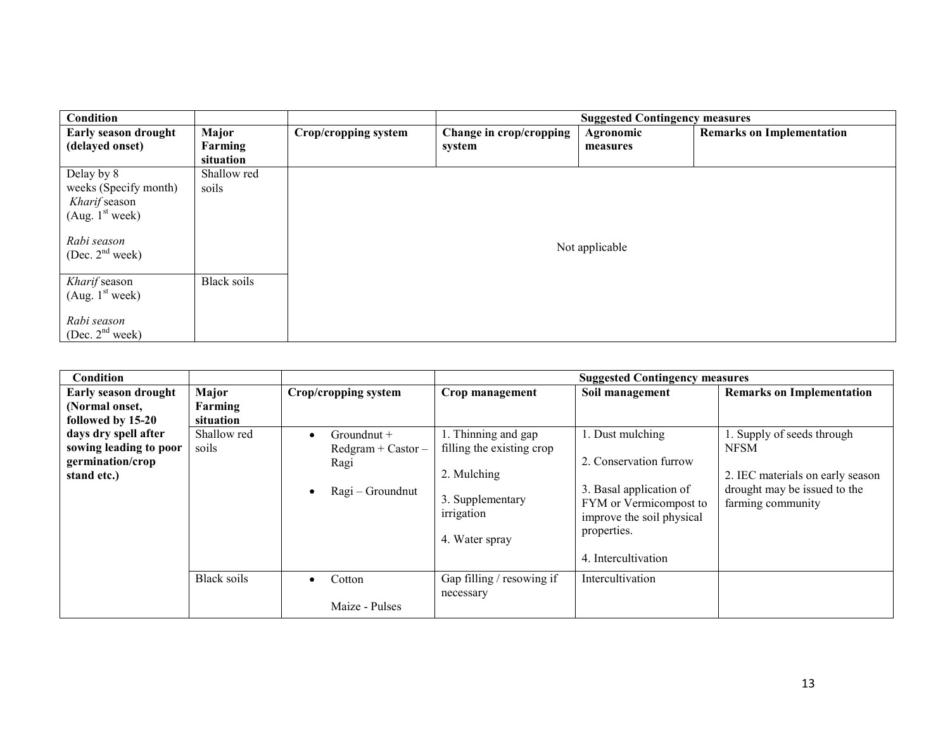| Condition                   |                    |                      |                         | <b>Suggested Contingency measures</b> |                                  |  |  |  |
|-----------------------------|--------------------|----------------------|-------------------------|---------------------------------------|----------------------------------|--|--|--|
| Early season drought        | <b>Major</b>       | Crop/cropping system | Change in crop/cropping | Agronomic                             | <b>Remarks on Implementation</b> |  |  |  |
| (delayed onset)             | Farming            |                      | system                  | measures                              |                                  |  |  |  |
|                             | situation          |                      |                         |                                       |                                  |  |  |  |
| Delay by 8                  | Shallow red        |                      |                         |                                       |                                  |  |  |  |
| weeks (Specify month)       | soils              |                      |                         |                                       |                                  |  |  |  |
| Kharif season               |                    |                      |                         |                                       |                                  |  |  |  |
| (Aug. $1st$ week)           |                    |                      |                         |                                       |                                  |  |  |  |
|                             |                    |                      |                         |                                       |                                  |  |  |  |
| Rabi season                 |                    |                      |                         |                                       |                                  |  |  |  |
| (Dec. $2nd$ week)           |                    |                      | Not applicable          |                                       |                                  |  |  |  |
|                             |                    |                      |                         |                                       |                                  |  |  |  |
| Kharif season               | <b>Black soils</b> |                      |                         |                                       |                                  |  |  |  |
| (Aug. 1 <sup>st</sup> week) |                    |                      |                         |                                       |                                  |  |  |  |
|                             |                    |                      |                         |                                       |                                  |  |  |  |
| Rabi season                 |                    |                      |                         |                                       |                                  |  |  |  |
| (Dec. $2nd$ week)           |                    |                      |                         |                                       |                                  |  |  |  |

| Condition                                                                         |                               |                                                                                           |                                                                                                                     | <b>Suggested Contingency measures</b>                                                                                                                              |                                                                                                                                    |
|-----------------------------------------------------------------------------------|-------------------------------|-------------------------------------------------------------------------------------------|---------------------------------------------------------------------------------------------------------------------|--------------------------------------------------------------------------------------------------------------------------------------------------------------------|------------------------------------------------------------------------------------------------------------------------------------|
| <b>Early season drought</b><br>(Normal onset,<br>followed by 15-20                | Major<br>Farming<br>situation | Crop/cropping system                                                                      | Crop management                                                                                                     | Soil management                                                                                                                                                    | <b>Remarks on Implementation</b>                                                                                                   |
| days dry spell after<br>sowing leading to poor<br>germination/crop<br>stand etc.) | Shallow red<br>soils          | Groundnut +<br>$\bullet$<br>$Redgram + Castor -$<br>Ragi<br>Ragi – Groundnut<br>$\bullet$ | 1. Thinning and gap<br>filling the existing crop<br>2. Mulching<br>3. Supplementary<br>irrigation<br>4. Water spray | 1. Dust mulching<br>2. Conservation furrow<br>3. Basal application of<br>FYM or Vermicompost to<br>improve the soil physical<br>properties.<br>4. Intercultivation | 1. Supply of seeds through<br><b>NFSM</b><br>2. IEC materials on early season<br>drought may be issued to the<br>farming community |
|                                                                                   | Black soils                   | Cotton<br>$\bullet$<br>Maize - Pulses                                                     | Gap filling / resowing if<br>necessary                                                                              | Intercultivation                                                                                                                                                   |                                                                                                                                    |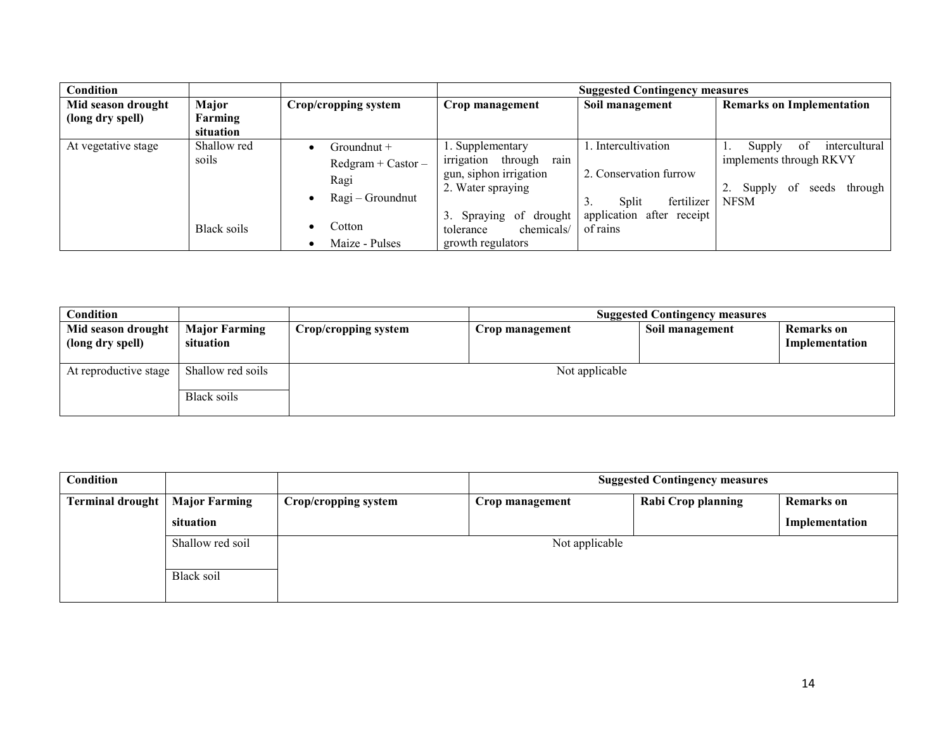| Condition                                                               |                      |                                                                              | <b>Suggested Contingency measures</b>                                                           |                                                                           |                                                                                                               |  |
|-------------------------------------------------------------------------|----------------------|------------------------------------------------------------------------------|-------------------------------------------------------------------------------------------------|---------------------------------------------------------------------------|---------------------------------------------------------------------------------------------------------------|--|
| Major<br>Mid season drought<br>(long dry spell)<br>Farming<br>situation |                      | Crop/cropping system                                                         | Crop management                                                                                 | Soil management                                                           | <b>Remarks on Implementation</b>                                                                              |  |
| At vegetative stage                                                     | Shallow red<br>soils | Groundnut +<br>$Redgram + Castor -$<br>Ragi<br>Ragi – Groundnut<br>$\bullet$ | . Supplementary<br>through<br>irrigation<br>rain<br>gun, siphon irrigation<br>2. Water spraying | . Intercultivation<br>2. Conservation furrow<br>fertilizer<br>Split<br>3. | Supply<br>intercultural<br>-of<br>implements through RKVY<br>Supply<br>through<br>seeds<br>-of<br><b>NFSM</b> |  |
|                                                                         | Black soils          | Cotton<br>٠<br>Maize - Pulses                                                | of drought<br>3. Spraying<br>chemicals/<br>tolerance<br>growth regulators                       | application after receipt<br>of rains                                     |                                                                                                               |  |

| Condition                              |                                   | <b>Suggested Contingency measures</b> |                 |                 |                              |
|----------------------------------------|-----------------------------------|---------------------------------------|-----------------|-----------------|------------------------------|
| Mid season drought<br>(long dry spell) | <b>Major Farming</b><br>situation | Crop/cropping system                  | Crop management | Soil management | Remarks on<br>Implementation |
| At reproductive stage                  | Shallow red soils<br>Black soils  |                                       | Not applicable  |                 |                              |

| Condition                               |                  | <b>Suggested Contingency measures</b> |                 |                    |                   |
|-----------------------------------------|------------------|---------------------------------------|-----------------|--------------------|-------------------|
| <b>Terminal drought</b>   Major Farming |                  | Crop/cropping system                  | Crop management | Rabi Crop planning | <b>Remarks</b> on |
|                                         | situation        |                                       |                 |                    | Implementation    |
|                                         | Shallow red soil | Not applicable                        |                 |                    |                   |
|                                         | Black soil       |                                       |                 |                    |                   |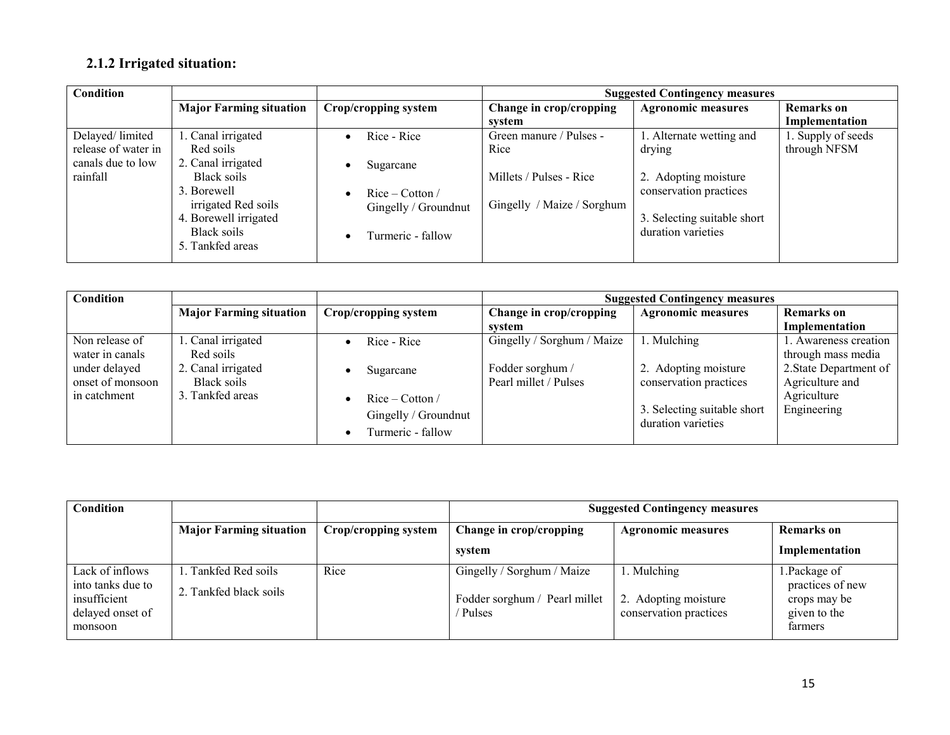# 2.1.2 Irrigated situation:

| Condition           |                                |                                | <b>Suggested Contingency measures</b> |                             |                    |
|---------------------|--------------------------------|--------------------------------|---------------------------------------|-----------------------------|--------------------|
|                     | <b>Major Farming situation</b> | Crop/cropping system           | Change in crop/cropping               | <b>Agronomic measures</b>   | <b>Remarks</b> on  |
|                     |                                |                                | svstem                                |                             | Implementation     |
| Delayed/limited     | 1. Canal irrigated             | Rice - Rice                    | Green manure / Pulses -               | 1. Alternate wetting and    | 1. Supply of seeds |
| release of water in | Red soils                      |                                | Rice                                  | drying                      | through NFSM       |
| canals due to low   | 2. Canal irrigated             | Sugarcane                      |                                       |                             |                    |
| rainfall            | Black soils                    |                                | Millets / Pulses - Rice               | 2. Adopting moisture        |                    |
|                     | 3. Borewell                    | $Rice - Cotton /$<br>$\bullet$ |                                       | conservation practices      |                    |
|                     | irrigated Red soils            | Gingelly / Groundnut           | Gingelly / Maize / Sorghum            |                             |                    |
|                     | 4. Borewell irrigated          |                                |                                       | 3. Selecting suitable short |                    |
|                     | Black soils                    | Turmeric - fallow              |                                       | duration varieties          |                    |
|                     | 5. Tankfed areas               |                                |                                       |                             |                    |
|                     |                                |                                |                                       |                             |                    |

| Condition        |                                |                                | <b>Suggested Contingency measures</b> |                             |                        |  |
|------------------|--------------------------------|--------------------------------|---------------------------------------|-----------------------------|------------------------|--|
|                  | <b>Major Farming situation</b> | Crop/cropping system           | Change in crop/cropping               | <b>Agronomic measures</b>   | <b>Remarks</b> on      |  |
|                  |                                |                                | svstem                                |                             | Implementation         |  |
| Non release of   | Canal irrigated                | Rice - Rice                    | Gingelly / Sorghum / Maize            | . Mulching                  | . Awareness creation   |  |
| water in canals  | Red soils                      |                                |                                       |                             | through mass media     |  |
| under delayed    | 2. Canal irrigated             | Sugarcane                      | Fodder sorghum /                      | 2. Adopting moisture        | 2. State Department of |  |
| onset of monsoon | Black soils                    |                                | Pearl millet / Pulses                 | conservation practices      | Agriculture and        |  |
| in catchment     | 3. Tankfed areas               | $Rice - Cotton /$              |                                       |                             | Agriculture            |  |
|                  |                                | Gingelly / Groundnut           |                                       | 3. Selecting suitable short | Engineering            |  |
|                  |                                |                                |                                       | duration varieties          |                        |  |
|                  |                                | Turmeric - fallow<br>$\bullet$ |                                       |                             |                        |  |

| Condition                                                                           |                                             |                      | <b>Suggested Contingency measures</b>                                 |                                                               |                                                                              |  |  |
|-------------------------------------------------------------------------------------|---------------------------------------------|----------------------|-----------------------------------------------------------------------|---------------------------------------------------------------|------------------------------------------------------------------------------|--|--|
|                                                                                     | <b>Major Farming situation</b>              | Crop/cropping system | Change in crop/cropping                                               | <b>Agronomic measures</b>                                     | <b>Remarks</b> on                                                            |  |  |
|                                                                                     |                                             |                      | system                                                                |                                                               | Implementation                                                               |  |  |
| Lack of inflows<br>into tanks due to<br>insufficient<br>delayed onset of<br>monsoon | Tankfed Red soils<br>2. Tankfed black soils | Rice                 | Gingelly / Sorghum / Maize<br>Fodder sorghum / Pearl millet<br>Pulses | 1. Mulching<br>2. Adopting moisture<br>conservation practices | 1. Package of<br>practices of new<br>crops may be<br>given to the<br>farmers |  |  |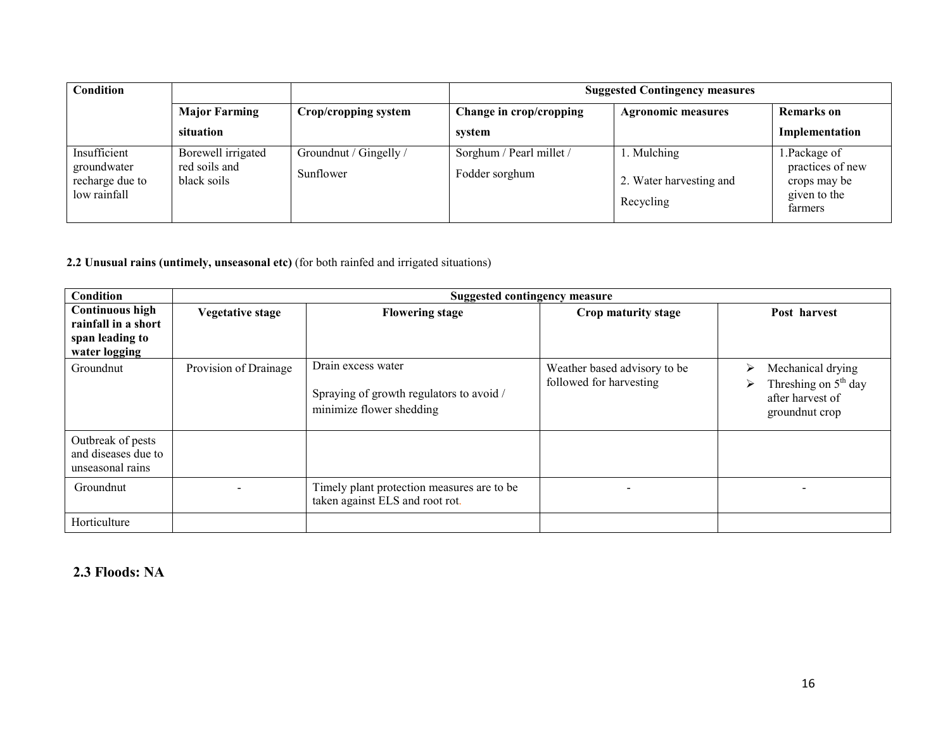| Condition                                                      |                                                    |                                     | <b>Suggested Contingency measures</b>      |                                                     |                                                                             |  |  |
|----------------------------------------------------------------|----------------------------------------------------|-------------------------------------|--------------------------------------------|-----------------------------------------------------|-----------------------------------------------------------------------------|--|--|
|                                                                | <b>Major Farming</b>                               | Crop/cropping system                | Change in crop/cropping                    | <b>Agronomic measures</b>                           | <b>Remarks</b> on                                                           |  |  |
|                                                                | situation                                          |                                     | system                                     |                                                     | Implementation                                                              |  |  |
| Insufficient<br>groundwater<br>recharge due to<br>low rainfall | Borewell irrigated<br>red soils and<br>black soils | Groundnut / Gingelly /<br>Sunflower | Sorghum / Pearl millet /<br>Fodder sorghum | 1. Mulching<br>2. Water harvesting and<br>Recycling | 1.Package of<br>practices of new<br>crops may be<br>given to the<br>farmers |  |  |

### 2.2 Unusual rains (untimely, unseasonal etc) (for both rainfed and irrigated situations)

| Condition                                                                         |                       | Suggested contingency measure                                                              |                                                         |                                                                                              |
|-----------------------------------------------------------------------------------|-----------------------|--------------------------------------------------------------------------------------------|---------------------------------------------------------|----------------------------------------------------------------------------------------------|
| <b>Continuous high</b><br>rainfall in a short<br>span leading to<br>water logging | Vegetative stage      | <b>Flowering stage</b>                                                                     | Crop maturity stage                                     | Post harvest                                                                                 |
| Groundnut                                                                         | Provision of Drainage | Drain excess water<br>Spraying of growth regulators to avoid /<br>minimize flower shedding | Weather based advisory to be<br>followed for harvesting | Mechanical drying<br>↘<br>Threshing on $5th$ day<br>➤<br>after harvest of<br>ground nut crop |
| Outbreak of pests<br>and diseases due to<br>unseasonal rains                      |                       |                                                                                            |                                                         |                                                                                              |
| Groundnut                                                                         |                       | Timely plant protection measures are to be<br>taken against ELS and root rot.              |                                                         |                                                                                              |
| Horticulture                                                                      |                       |                                                                                            |                                                         |                                                                                              |

## 2.3 Floods: NA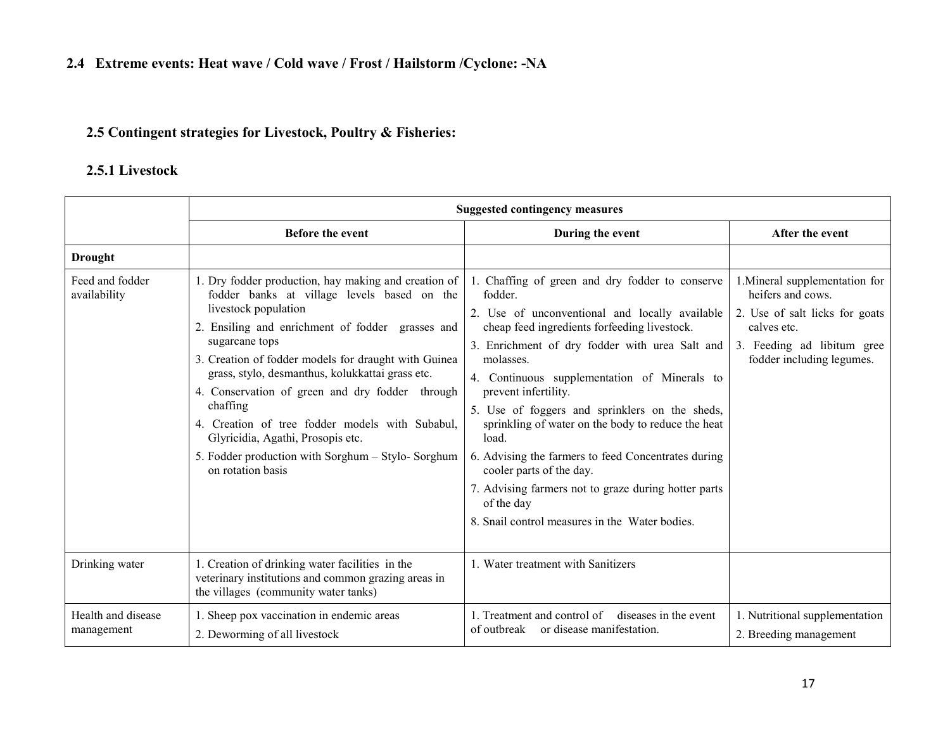## 2.5 Contingent strategies for Livestock, Poultry & Fisheries:

# 2.5.1 Livestock

|                                  | <b>Suggested contingency measures</b>                                                                                                                                                                                                                                                                                                                                                                                                                                                                                                          |                                                                                                                                                                                                                                                                                                                                                                                                                                                                                                                                                                                                                                 |                                                                                                                                                                 |  |  |  |
|----------------------------------|------------------------------------------------------------------------------------------------------------------------------------------------------------------------------------------------------------------------------------------------------------------------------------------------------------------------------------------------------------------------------------------------------------------------------------------------------------------------------------------------------------------------------------------------|---------------------------------------------------------------------------------------------------------------------------------------------------------------------------------------------------------------------------------------------------------------------------------------------------------------------------------------------------------------------------------------------------------------------------------------------------------------------------------------------------------------------------------------------------------------------------------------------------------------------------------|-----------------------------------------------------------------------------------------------------------------------------------------------------------------|--|--|--|
|                                  | <b>Before the event</b>                                                                                                                                                                                                                                                                                                                                                                                                                                                                                                                        | During the event                                                                                                                                                                                                                                                                                                                                                                                                                                                                                                                                                                                                                | After the event                                                                                                                                                 |  |  |  |
| <b>Drought</b>                   |                                                                                                                                                                                                                                                                                                                                                                                                                                                                                                                                                |                                                                                                                                                                                                                                                                                                                                                                                                                                                                                                                                                                                                                                 |                                                                                                                                                                 |  |  |  |
| Feed and fodder<br>availability  | 1. Dry fodder production, hay making and creation of<br>fodder banks at village levels based on the<br>livestock population<br>2. Ensiling and enrichment of fodder grasses and<br>sugarcane tops<br>3. Creation of fodder models for draught with Guinea<br>grass, stylo, desmanthus, kolukkattai grass etc.<br>4. Conservation of green and dry fodder through<br>chaffing<br>4. Creation of tree fodder models with Subabul,<br>Glyricidia, Agathi, Prosopis etc.<br>5. Fodder production with Sorghum - Stylo-Sorghum<br>on rotation basis | 1. Chaffing of green and dry fodder to conserve<br>fodder.<br>2. Use of unconventional and locally available<br>cheap feed ingredients forfeeding livestock.<br>3. Enrichment of dry fodder with urea Salt and<br>molasses.<br>4. Continuous supplementation of Minerals to<br>prevent infertility.<br>5. Use of foggers and sprinklers on the sheds,<br>sprinkling of water on the body to reduce the heat<br>load.<br>6. Advising the farmers to feed Concentrates during<br>cooler parts of the day.<br>7. Advising farmers not to graze during hotter parts<br>of the day<br>8. Snail control measures in the Water bodies. | 1. Mineral supplementation for<br>heifers and cows.<br>2. Use of salt licks for goats<br>calves etc.<br>3. Feeding ad libitum gree<br>fodder including legumes. |  |  |  |
| Drinking water                   | 1. Creation of drinking water facilities in the<br>veterinary institutions and common grazing areas in<br>the villages (community water tanks)                                                                                                                                                                                                                                                                                                                                                                                                 | 1. Water treatment with Sanitizers                                                                                                                                                                                                                                                                                                                                                                                                                                                                                                                                                                                              |                                                                                                                                                                 |  |  |  |
| Health and disease<br>management | 1. Sheep pox vaccination in endemic areas<br>2. Deworming of all livestock                                                                                                                                                                                                                                                                                                                                                                                                                                                                     | 1. Treatment and control of diseases in the event<br>or disease manifestation.<br>of outbreak                                                                                                                                                                                                                                                                                                                                                                                                                                                                                                                                   | 1. Nutritional supplementation<br>2. Breeding management                                                                                                        |  |  |  |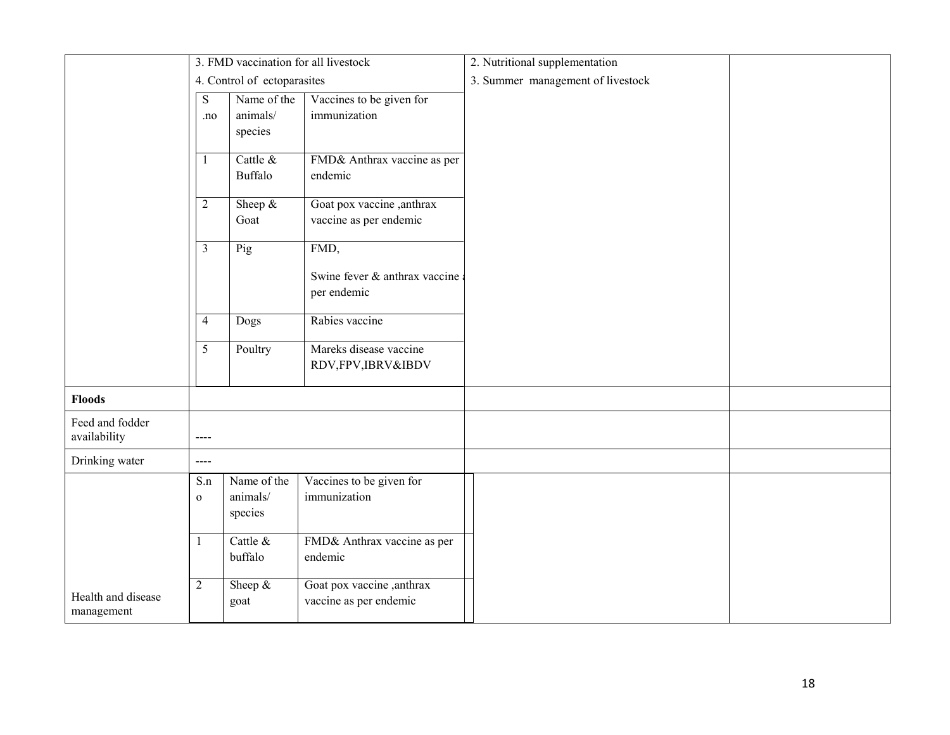|                                 | 3. FMD vaccination for all livestock |                             | 2. Nutritional supplementation              |                                   |  |
|---------------------------------|--------------------------------------|-----------------------------|---------------------------------------------|-----------------------------------|--|
|                                 |                                      | 4. Control of ectoparasites |                                             | 3. Summer management of livestock |  |
|                                 | ${\bf S}$<br>.no                     | Name of the<br>animals/     | Vaccines to be given for<br>immunization    |                                   |  |
|                                 |                                      | species                     |                                             |                                   |  |
|                                 | -1                                   | Cattle &                    | FMD& Anthrax vaccine as per                 |                                   |  |
|                                 |                                      | <b>Buffalo</b>              | endemic                                     |                                   |  |
|                                 | $\overline{2}$                       | Sheep $&$                   | Goat pox vaccine, anthrax                   |                                   |  |
|                                 |                                      | Goat                        | vaccine as per endemic                      |                                   |  |
|                                 | $\overline{3}$                       | Pig                         | FMD,                                        |                                   |  |
|                                 |                                      |                             | Swine fever & anthrax vaccine               |                                   |  |
|                                 |                                      |                             | per endemic                                 |                                   |  |
|                                 | $\overline{4}$                       | Dogs                        | Rabies vaccine                              |                                   |  |
|                                 | 5                                    | Poultry                     | Mareks disease vaccine<br>RDV,FPV,IBRV&IBDV |                                   |  |
|                                 |                                      |                             |                                             |                                   |  |
| <b>Floods</b>                   |                                      |                             |                                             |                                   |  |
| Feed and fodder<br>availability | $\qquad \qquad \text{---}$           |                             |                                             |                                   |  |
| Drinking water                  | $\cdots$                             |                             |                                             |                                   |  |
|                                 | S.n                                  | Name of the                 | Vaccines to be given for                    |                                   |  |
|                                 | $\mathbf{o}$                         | animals/<br>species         | immunization                                |                                   |  |
|                                 |                                      |                             |                                             |                                   |  |
|                                 | 1                                    | Cattle &                    | FMD& Anthrax vaccine as per                 |                                   |  |
|                                 |                                      | buffalo                     | endemic                                     |                                   |  |
| Health and disease              | $\overline{2}$                       | Sheep $&$                   | Goat pox vaccine, anthrax                   |                                   |  |
| management                      |                                      | goat                        | vaccine as per endemic                      |                                   |  |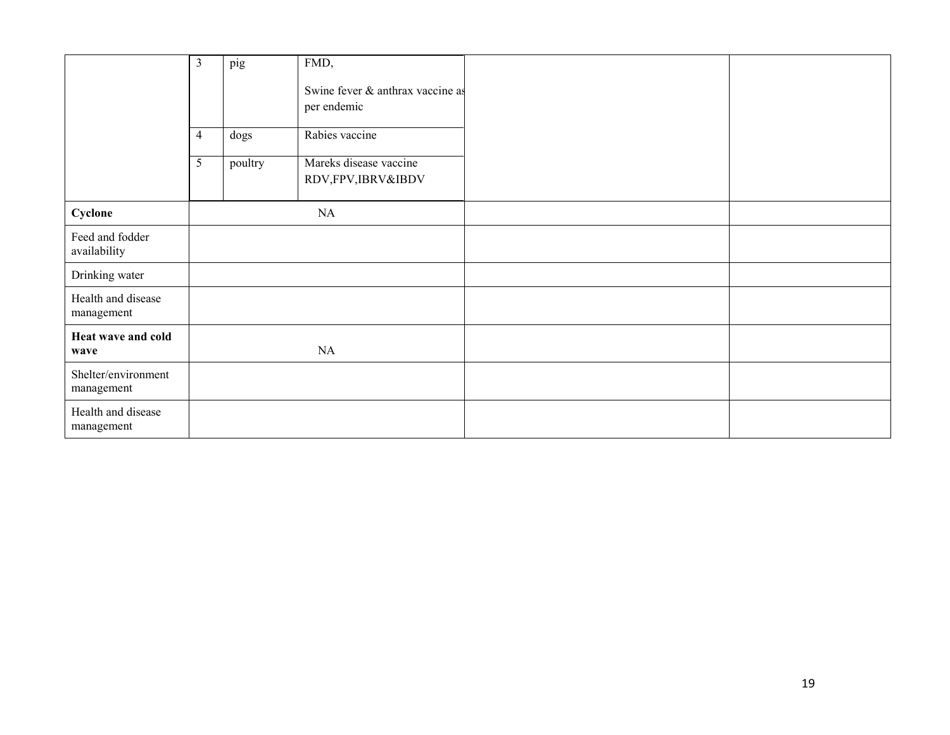|                                   | $\mathfrak{Z}$ | pig     | FMD,                                            |  |
|-----------------------------------|----------------|---------|-------------------------------------------------|--|
|                                   |                |         | Swine fever & anthrax vaccine as<br>per endemic |  |
|                                   |                |         |                                                 |  |
|                                   | $\overline{4}$ | dogs    | Rabies vaccine                                  |  |
|                                   | 5              | poultry | Mareks disease vaccine<br>RDV,FPV,IBRV&IBDV     |  |
| Cyclone                           |                |         | NA                                              |  |
| Feed and fodder<br>availability   |                |         |                                                 |  |
| Drinking water                    |                |         |                                                 |  |
| Health and disease<br>management  |                |         |                                                 |  |
| Heat wave and cold<br>wave        |                |         | NA                                              |  |
| Shelter/environment<br>management |                |         |                                                 |  |
| Health and disease<br>management  |                |         |                                                 |  |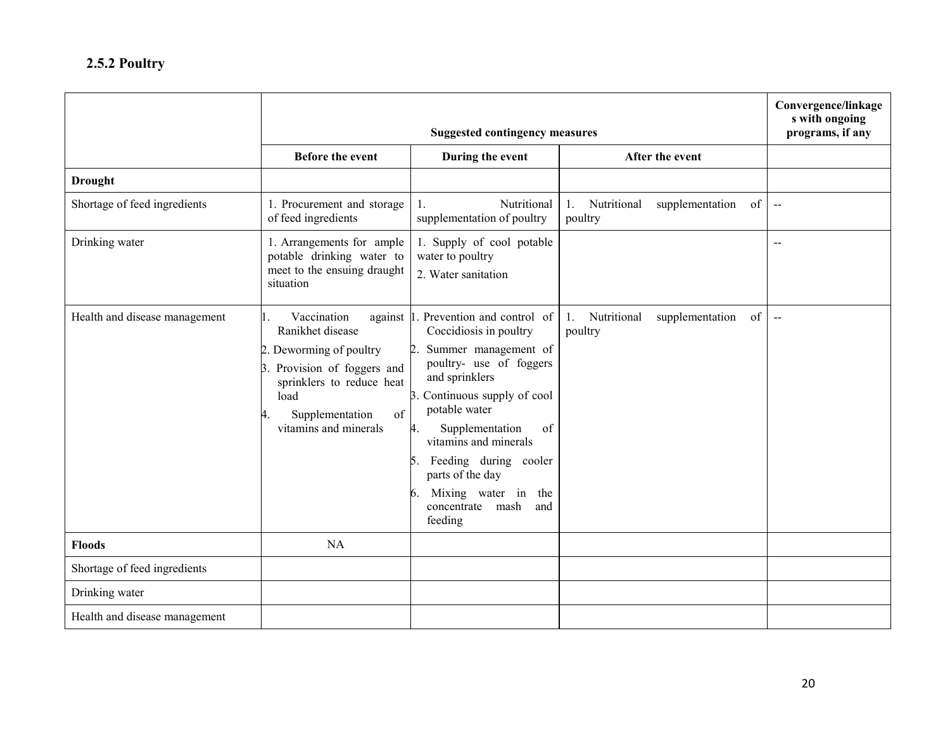|                               |                                                                                                                                                                                  | Convergence/linkage<br>s with ongoing<br>programs, if any                                                                                                                                                                                                                                                                                                                  |                                                                |                          |
|-------------------------------|----------------------------------------------------------------------------------------------------------------------------------------------------------------------------------|----------------------------------------------------------------------------------------------------------------------------------------------------------------------------------------------------------------------------------------------------------------------------------------------------------------------------------------------------------------------------|----------------------------------------------------------------|--------------------------|
|                               | <b>Before the event</b>                                                                                                                                                          | During the event                                                                                                                                                                                                                                                                                                                                                           | After the event                                                |                          |
| <b>Drought</b>                |                                                                                                                                                                                  |                                                                                                                                                                                                                                                                                                                                                                            |                                                                |                          |
| Shortage of feed ingredients  | 1. Procurement and storage<br>of feed ingredients                                                                                                                                | Nutritional<br>1.<br>supplementation of poultry                                                                                                                                                                                                                                                                                                                            | Nutritional<br>supplementation<br>of<br>1.<br>poultry          | $\overline{\phantom{a}}$ |
| Drinking water                | 1. Arrangements for ample<br>potable drinking water to<br>meet to the ensuing draught<br>situation                                                                               | 1. Supply of cool potable<br>water to poultry<br>2. Water sanitation                                                                                                                                                                                                                                                                                                       |                                                                | $-$                      |
| Health and disease management | Vaccination<br>Ranikhet disease<br>2. Deworming of poultry<br>3. Provision of foggers and<br>sprinklers to reduce heat<br>load<br>of<br>Supplementation<br>vitamins and minerals | against 1. Prevention and control of<br>Coccidiosis in poultry<br>Summer management of<br>2<br>poultry- use of foggers<br>and sprinklers<br>Continuous supply of cool<br>3.<br>potable water<br>Supplementation<br>of<br>4.<br>vitamins and minerals<br>Feeding during cooler<br>5.<br>parts of the day<br>Mixing water in the<br>6.<br>concentrate mash<br>and<br>feeding | Nutritional<br>supplementation<br>of<br>$1_{\cdot}$<br>poultry | $\overline{\phantom{a}}$ |
| <b>Floods</b>                 | <b>NA</b>                                                                                                                                                                        |                                                                                                                                                                                                                                                                                                                                                                            |                                                                |                          |
| Shortage of feed ingredients  |                                                                                                                                                                                  |                                                                                                                                                                                                                                                                                                                                                                            |                                                                |                          |
| Drinking water                |                                                                                                                                                                                  |                                                                                                                                                                                                                                                                                                                                                                            |                                                                |                          |
| Health and disease management |                                                                                                                                                                                  |                                                                                                                                                                                                                                                                                                                                                                            |                                                                |                          |